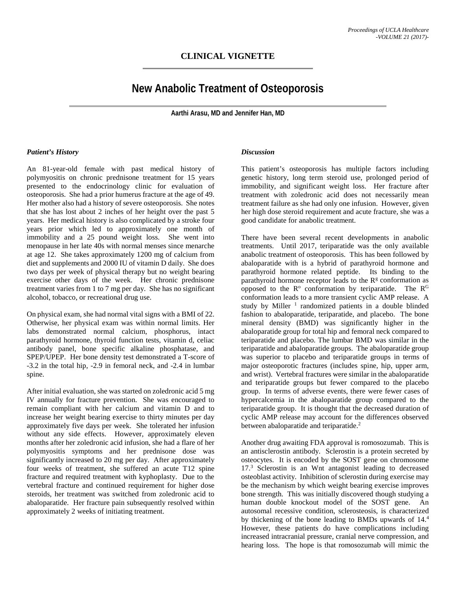## **CLINICAL VIGNETTE**

# **New Anabolic Treatment of Osteoporosis**

**Aarthi Arasu, MD and Jennifer Han, MD**

#### *Patient's History*

An 81-year-old female with past medical history of polymyositis on chronic prednisone treatment for 15 years presented to the endocrinology clinic for evaluation of osteoporosis. She had a prior humerus fracture at the age of 49. Her mother also had a history of severe osteoporosis. She notes that she has lost about 2 inches of her height over the past 5 years. Her medical history is also complicated by a stroke four years prior which led to approximately one month of immobility and a 25 pound weight loss. She went into menopause in her late 40s with normal menses since menarche at age 12. She takes approximately 1200 mg of calcium from diet and supplements and 2000 IU of vitamin D daily. She does two days per week of physical therapy but no weight bearing exercise other days of the week. Her chronic prednisone treatment varies from 1 to 7 mg per day. She has no significant alcohol, tobacco, or recreational drug use.

On physical exam, she had normal vital signs with a BMI of 22. Otherwise, her physical exam was within normal limits. Her labs demonstrated normal calcium, phosphorus, intact parathyroid hormone, thyroid function tests, vitamin d, celiac antibody panel, bone specific alkaline phosphatase, and SPEP/UPEP. Her bone density test demonstrated a T-score of -3.2 in the total hip, -2.9 in femoral neck, and -2.4 in lumbar spine.

After initial evaluation, she was started on zoledronic acid 5 mg IV annually for fracture prevention. She was encouraged to remain compliant with her calcium and vitamin D and to increase her weight bearing exercise to thirty minutes per day approximately five days per week. She tolerated her infusion without any side effects. However, approximately eleven months after her zoledronic acid infusion, she had a flare of her polymyositis symptoms and her prednisone dose was significantly increased to 20 mg per day. After approximately four weeks of treatment, she suffered an acute T12 spine fracture and required treatment with kyphoplasty. Due to the vertebral fracture and continued requirement for higher dose steroids, her treatment was switched from zoledronic acid to abaloparatide. Her fracture pain subsequently resolved within approximately 2 weeks of initiating treatment.

#### *Discussion*

This patient's osteoporosis has multiple factors including genetic history, long term steroid use, prolonged period of immobility, and significant weight loss. Her fracture after treatment with zoledronic acid does not necessarily mean treatment failure as she had only one infusion. However, given her high dose steroid requirement and acute fracture, she was a good candidate for anabolic treatment.

There have been several recent developments in anabolic treatments. Until 2017, teriparatide was the only available anabolic treatment of osteoporosis. This has been followed by abaloparatide with is a hybrid of parathyroid hormone and parathyroid hormone related peptide. Its binding to the parathyroid hormone receptor leads to the  $R<sup>g</sup>$  conformation as opposed to the  $R^{\circ}$  conformation by teriparatide. The  $R^{G}$ conformation leads to a more transient cyclic AMP release. A study by Miller<sup>1</sup> randomized patients in a double blinded fashion to abaloparatide, teriparatide, and placebo. The bone mineral density (BMD) was significantly higher in the abaloparatide group for total hip and femoral neck compared to teriparatide and placebo. The lumbar BMD was similar in the teriparatide and abaloparatide groups. The abaloparatide group was superior to placebo and teriparatide groups in terms of major osteoporotic fractures (includes spine, hip, upper arm, and wrist). Vertebral fractures were similar in the abaloparatide and teriparatide groups but fewer compared to the placebo group. In terms of adverse events, there were fewer cases of hypercalcemia in the abaloparatide group compared to the teriparatide group. It is thought that the decreased duration of cyclic AMP release may account for the differences observed between abaloparatide and teriparatide.<sup>2</sup>

Another drug awaiting FDA approval is romosozumab. This is an antisclerostin antibody. Sclerostin is a protein secreted by osteocytes. It is encoded by the SOST gene on chromosome 17. <sup>3</sup> Sclerostin is an Wnt antagonist leading to decreased osteoblast activity. Inhibition of sclerostin during exercise may be the mechanism by which weight bearing exercise improves bone strength. This was initially discovered though studying a human double knockout model of the SOST gene. An autosomal recessive condition, sclerosteosis, is characterized by thickening of the bone leading to BMDs upwards of 14. 4 However, these patients do have complications including increased intracranial pressure, cranial nerve compression, and hearing loss. The hope is that romosozumab will mimic the